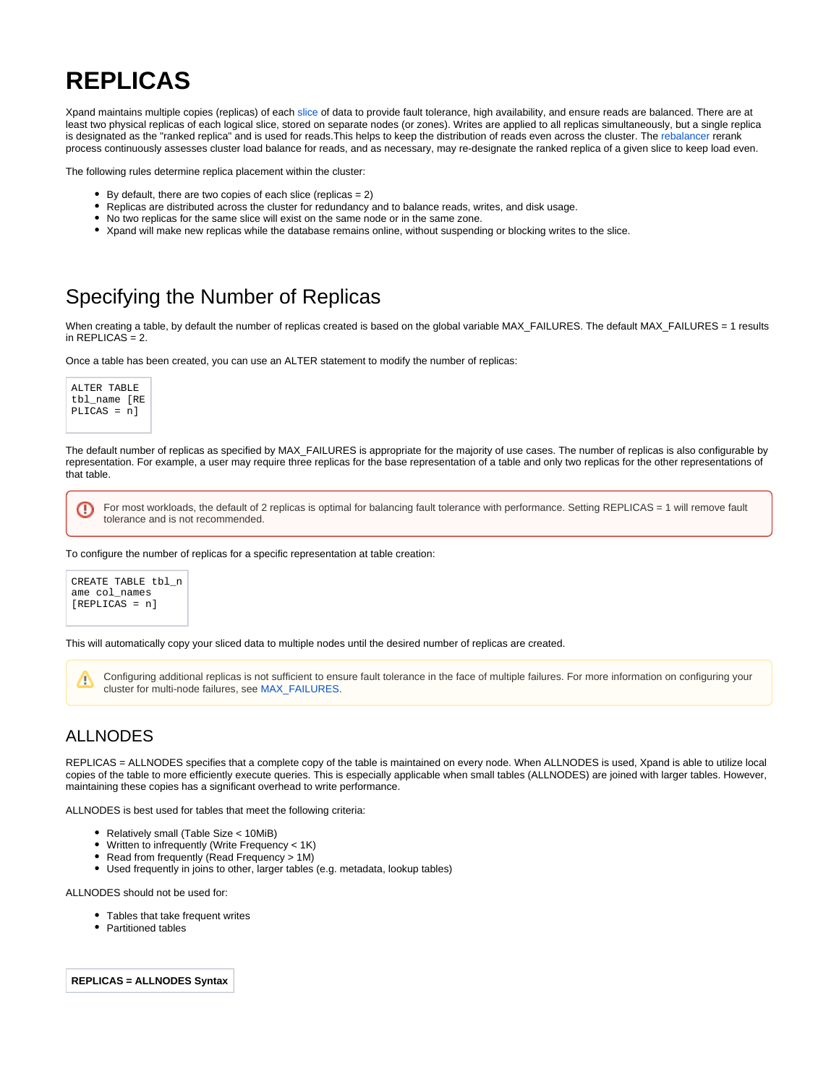## **REPLICAS**

Xpand maintains multiple copies (replicas) of each [slice](https://docs.clustrix.com/display/CLXDOC/SLICES) of data to provide fault tolerance, high availability, and ensure reads are balanced. There are at least two physical replicas of each logical slice, stored on separate nodes (or zones). Writes are applied to all replicas simultaneously, but a single replica is designated as the "ranked replica" and is used for reads. This helps to keep the distribution of reads even across the cluster. The [rebalancer](https://docs.clustrix.com/display/CLXDOC/Rebalancer) rerank process continuously assesses cluster load balance for reads, and as necessary, may re-designate the ranked replica of a given slice to keep load even.

The following rules determine replica placement within the cluster:

- $\bullet$  By default, there are two copies of each slice (replicas = 2)
- Replicas are distributed across the cluster for redundancy and to balance reads, writes, and disk usage.
- No two replicas for the same slice will exist on the same node or in the same zone.
- Xpand will make new replicas while the database remains online, without suspending or blocking writes to the slice.

## Specifying the Number of Replicas

When creating a table, by default the number of replicas created is based on the global variable MAX\_FAILURES. The default MAX\_FAILURES = 1 results in  $REPLICAS = 2$ .

Once a table has been created, you can use an ALTER statement to modify the number of replicas:

```
ALTER TABLE 
tbl_name [RE
PLICAS = n]
```
O

The default number of replicas as specified by MAX\_FAILURES is appropriate for the majority of use cases. The number of replicas is also configurable by representation. For example, a user may require three replicas for the base representation of a table and only two replicas for the other representations of that table.

For most workloads, the default of 2 replicas is optimal for balancing fault tolerance with performance. Setting REPLICAS = 1 will remove fault tolerance and is not recommended.

To configure the number of replicas for a specific representation at table creation:



This will automatically copy your sliced data to multiple nodes until the desired number of replicas are created.

Configuring additional replicas is not sufficient to ensure fault tolerance in the face of multiple failures. For more information on configuring your Δ cluster for multi-node failures, see [MAX\\_FAILURES.](https://docs.clustrix.com/display/CLXDOC/ALTER+CLUSTER+Syntax#ALTERCLUSTERSyntax-max_failures)

## ALLNODES

REPLICAS = ALLNODES specifies that a complete copy of the table is maintained on every node. When ALLNODES is used, Xpand is able to utilize local copies of the table to more efficiently execute queries. This is especially applicable when small tables (ALLNODES) are joined with larger tables. However, maintaining these copies has a significant overhead to write performance.

ALLNODES is best used for tables that meet the following criteria:

- Relatively small (Table Size < 10MiB)
- $\bullet$ Written to infrequently (Write Frequency < 1K)
- Read from frequently (Read Frequency > 1M)
- Used frequently in joins to other, larger tables (e.g. metadata, lookup tables)

ALLNODES should not be used for:

- Tables that take frequent writes
- Partitioned tables

**REPLICAS = ALLNODES Syntax**